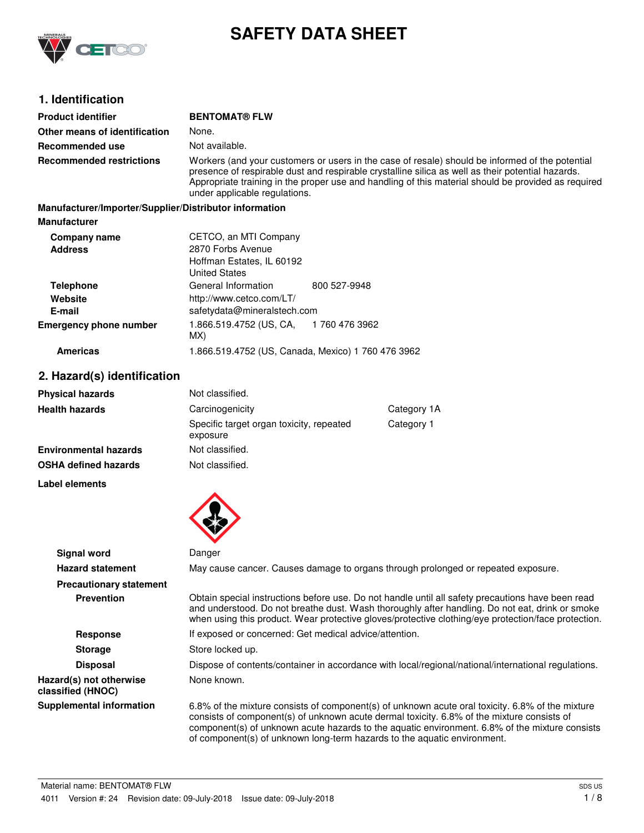

# **SAFETY DATA SHEET**

# **1. Identification**

| <b>Product identifier</b>                              | <b>BENTOMAT® FLW</b>                                                                                                                                                                                                                                                                                                                         |              |  |
|--------------------------------------------------------|----------------------------------------------------------------------------------------------------------------------------------------------------------------------------------------------------------------------------------------------------------------------------------------------------------------------------------------------|--------------|--|
| Other means of identification                          | None.                                                                                                                                                                                                                                                                                                                                        |              |  |
| Recommended use                                        | Not available.                                                                                                                                                                                                                                                                                                                               |              |  |
| <b>Recommended restrictions</b>                        | Workers (and your customers or users in the case of resale) should be informed of the potential<br>presence of respirable dust and respirable crystalline silica as well as their potential hazards.<br>Appropriate training in the proper use and handling of this material should be provided as required<br>under applicable regulations. |              |  |
| Manufacturer/Importer/Supplier/Distributor information |                                                                                                                                                                                                                                                                                                                                              |              |  |
| <b>Manufacturer</b>                                    |                                                                                                                                                                                                                                                                                                                                              |              |  |
| Company name                                           | CETCO, an MTI Company                                                                                                                                                                                                                                                                                                                        |              |  |
| <b>Address</b>                                         | 2870 Forbs Avenue<br>Hoffman Estates, IL 60192<br><b>United States</b>                                                                                                                                                                                                                                                                       |              |  |
| <b>Telephone</b>                                       | General Information                                                                                                                                                                                                                                                                                                                          | 800 527-9948 |  |
| Website                                                | http://www.cetco.com/LT/                                                                                                                                                                                                                                                                                                                     |              |  |

1 760 476 3962

**Emergency phone number** 1.866.519.4752 (US, CA, MX) **E-mail** safetydata@mineralstech.com

**Americas** 1.866.519.4752 (US, Canada, Mexico) 1 760 476 3962

# **2. Hazard(s) identification**

| <b>Physical hazards</b>      | Not classified.                                      |            |
|------------------------------|------------------------------------------------------|------------|
| <b>Health hazards</b>        | Category 1A<br>Carcinogenicity                       |            |
|                              | Specific target organ toxicity, repeated<br>exposure | Category 1 |
| <b>Environmental hazards</b> | Not classified.                                      |            |
| <b>OSHA defined hazards</b>  | Not classified.                                      |            |

**Label elements**



| <b>Signal word</b>                           | Danger                                                                                                                                                                                                                                                                                                                                                                       |
|----------------------------------------------|------------------------------------------------------------------------------------------------------------------------------------------------------------------------------------------------------------------------------------------------------------------------------------------------------------------------------------------------------------------------------|
| <b>Hazard statement</b>                      | May cause cancer. Causes damage to organs through prolonged or repeated exposure.                                                                                                                                                                                                                                                                                            |
| <b>Precautionary statement</b>               |                                                                                                                                                                                                                                                                                                                                                                              |
| <b>Prevention</b>                            | Obtain special instructions before use. Do not handle until all safety precautions have been read<br>and understood. Do not breathe dust. Wash thoroughly after handling. Do not eat, drink or smoke<br>when using this product. Wear protective gloves/protective clothing/eye protection/face protection.                                                                  |
| <b>Response</b>                              | If exposed or concerned: Get medical advice/attention.                                                                                                                                                                                                                                                                                                                       |
| <b>Storage</b>                               | Store locked up.                                                                                                                                                                                                                                                                                                                                                             |
| <b>Disposal</b>                              | Dispose of contents/container in accordance with local/regional/national/international regulations.                                                                                                                                                                                                                                                                          |
| Hazard(s) not otherwise<br>classified (HNOC) | None known.                                                                                                                                                                                                                                                                                                                                                                  |
| <b>Supplemental information</b>              | 6.8% of the mixture consists of component(s) of unknown acute oral toxicity. 6.8% of the mixture<br>consists of component(s) of unknown acute dermal toxicity. 6.8% of the mixture consists of<br>component(s) of unknown acute hazards to the aquatic environment. 6.8% of the mixture consists<br>of component(s) of unknown long-term hazards to the aquatic environment. |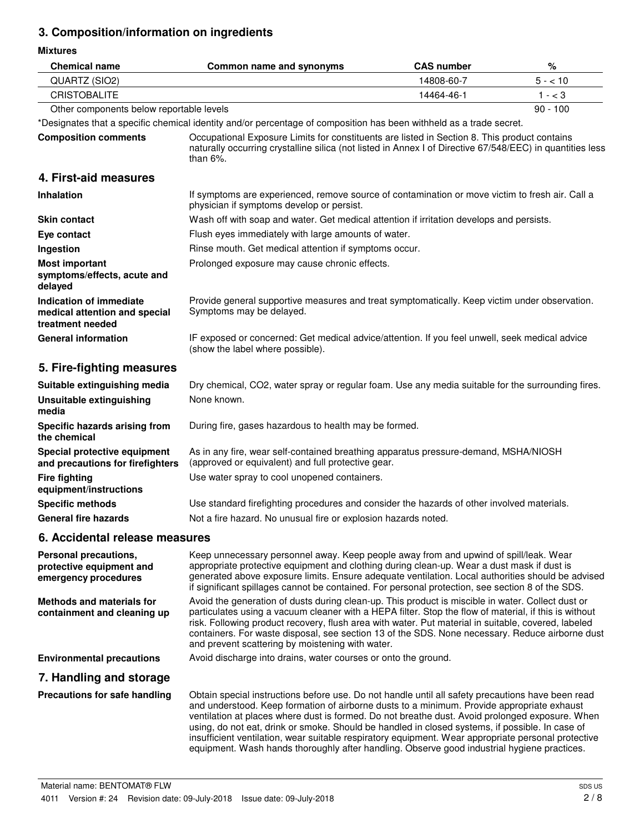# **3. Composition/information on ingredients**

**Mixtures**

| <b>Chemical name</b>                                                         | Common name and synonyms                                                                                                                                                                                                                                                                                                                                                                                                                                                                                                                                                                                    | <b>CAS number</b> | $\%$       |
|------------------------------------------------------------------------------|-------------------------------------------------------------------------------------------------------------------------------------------------------------------------------------------------------------------------------------------------------------------------------------------------------------------------------------------------------------------------------------------------------------------------------------------------------------------------------------------------------------------------------------------------------------------------------------------------------------|-------------------|------------|
| QUARTZ (SIO2)                                                                |                                                                                                                                                                                                                                                                                                                                                                                                                                                                                                                                                                                                             | 14808-60-7        | $5 - 10$   |
| <b>CRISTOBALITE</b>                                                          |                                                                                                                                                                                                                                                                                                                                                                                                                                                                                                                                                                                                             | 14464-46-1        | $1 - < 3$  |
| Other components below reportable levels                                     |                                                                                                                                                                                                                                                                                                                                                                                                                                                                                                                                                                                                             |                   | $90 - 100$ |
|                                                                              | *Designates that a specific chemical identity and/or percentage of composition has been withheld as a trade secret.                                                                                                                                                                                                                                                                                                                                                                                                                                                                                         |                   |            |
| <b>Composition comments</b>                                                  | Occupational Exposure Limits for constituents are listed in Section 8. This product contains<br>naturally occurring crystalline silica (not listed in Annex I of Directive 67/548/EEC) in quantities less<br>than $6\%$ .                                                                                                                                                                                                                                                                                                                                                                                   |                   |            |
| 4. First-aid measures                                                        |                                                                                                                                                                                                                                                                                                                                                                                                                                                                                                                                                                                                             |                   |            |
| Inhalation                                                                   | If symptoms are experienced, remove source of contamination or move victim to fresh air. Call a<br>physician if symptoms develop or persist.                                                                                                                                                                                                                                                                                                                                                                                                                                                                |                   |            |
| <b>Skin contact</b>                                                          | Wash off with soap and water. Get medical attention if irritation develops and persists.                                                                                                                                                                                                                                                                                                                                                                                                                                                                                                                    |                   |            |
| Eye contact                                                                  | Flush eyes immediately with large amounts of water.                                                                                                                                                                                                                                                                                                                                                                                                                                                                                                                                                         |                   |            |
| Ingestion                                                                    | Rinse mouth. Get medical attention if symptoms occur.                                                                                                                                                                                                                                                                                                                                                                                                                                                                                                                                                       |                   |            |
| <b>Most important</b><br>symptoms/effects, acute and<br>delayed              | Prolonged exposure may cause chronic effects.                                                                                                                                                                                                                                                                                                                                                                                                                                                                                                                                                               |                   |            |
| Indication of immediate<br>medical attention and special<br>treatment needed | Provide general supportive measures and treat symptomatically. Keep victim under observation.<br>Symptoms may be delayed.                                                                                                                                                                                                                                                                                                                                                                                                                                                                                   |                   |            |
| <b>General information</b>                                                   | IF exposed or concerned: Get medical advice/attention. If you feel unwell, seek medical advice<br>(show the label where possible).                                                                                                                                                                                                                                                                                                                                                                                                                                                                          |                   |            |
| 5. Fire-fighting measures                                                    |                                                                                                                                                                                                                                                                                                                                                                                                                                                                                                                                                                                                             |                   |            |
| Suitable extinguishing media                                                 | Dry chemical, CO2, water spray or regular foam. Use any media suitable for the surrounding fires.                                                                                                                                                                                                                                                                                                                                                                                                                                                                                                           |                   |            |
| <b>Unsuitable extinguishing</b><br>media                                     | None known.                                                                                                                                                                                                                                                                                                                                                                                                                                                                                                                                                                                                 |                   |            |
| Specific hazards arising from<br>the chemical                                | During fire, gases hazardous to health may be formed.                                                                                                                                                                                                                                                                                                                                                                                                                                                                                                                                                       |                   |            |
| Special protective equipment<br>and precautions for firefighters             | As in any fire, wear self-contained breathing apparatus pressure-demand, MSHA/NIOSH<br>(approved or equivalent) and full protective gear.                                                                                                                                                                                                                                                                                                                                                                                                                                                                   |                   |            |
| <b>Fire fighting</b><br>equipment/instructions                               | Use water spray to cool unopened containers.                                                                                                                                                                                                                                                                                                                                                                                                                                                                                                                                                                |                   |            |
| <b>Specific methods</b>                                                      | Use standard firefighting procedures and consider the hazards of other involved materials.                                                                                                                                                                                                                                                                                                                                                                                                                                                                                                                  |                   |            |
| <b>General fire hazards</b>                                                  | Not a fire hazard. No unusual fire or explosion hazards noted.                                                                                                                                                                                                                                                                                                                                                                                                                                                                                                                                              |                   |            |
| 6. Accidental release measures                                               |                                                                                                                                                                                                                                                                                                                                                                                                                                                                                                                                                                                                             |                   |            |
| Personal precautions,<br>protective equipment and<br>emergency procedures    | Keep unnecessary personnel away. Keep people away from and upwind of spill/leak. Wear<br>appropriate protective equipment and clothing during clean-up. Wear a dust mask if dust is<br>generated above exposure limits. Ensure adequate ventilation. Local authorities should be advised<br>if significant spillages cannot be contained. For personal protection, see section 8 of the SDS.                                                                                                                                                                                                                |                   |            |
| <b>Methods and materials for</b><br>containment and cleaning up              | Avoid the generation of dusts during clean-up. This product is miscible in water. Collect dust or<br>particulates using a vacuum cleaner with a HEPA filter. Stop the flow of material, if this is without<br>risk. Following product recovery, flush area with water. Put material in suitable, covered, labeled<br>containers. For waste disposal, see section 13 of the SDS. None necessary. Reduce airborne dust<br>and prevent scattering by moistening with water.                                                                                                                                    |                   |            |
| <b>Environmental precautions</b>                                             | Avoid discharge into drains, water courses or onto the ground.                                                                                                                                                                                                                                                                                                                                                                                                                                                                                                                                              |                   |            |
| 7. Handling and storage                                                      |                                                                                                                                                                                                                                                                                                                                                                                                                                                                                                                                                                                                             |                   |            |
| Precautions for safe handling                                                | Obtain special instructions before use. Do not handle until all safety precautions have been read<br>and understood. Keep formation of airborne dusts to a minimum. Provide appropriate exhaust<br>ventilation at places where dust is formed. Do not breathe dust. Avoid prolonged exposure. When<br>using, do not eat, drink or smoke. Should be handled in closed systems, if possible. In case of<br>insufficient ventilation, wear suitable respiratory equipment. Wear appropriate personal protective<br>equipment. Wash hands thoroughly after handling. Observe good industrial hygiene practices. |                   |            |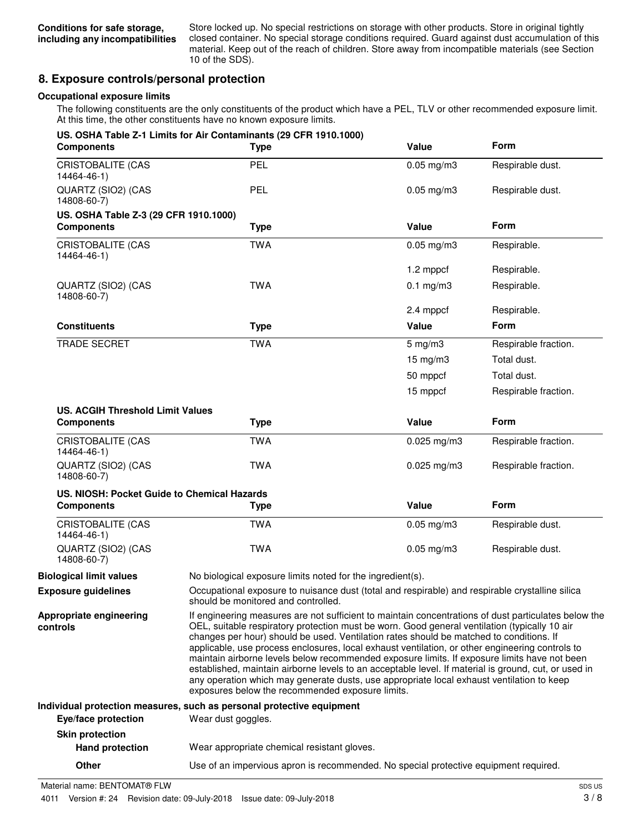Store locked up. No special restrictions on storage with other products. Store in original tightly closed container. No special storage conditions required. Guard against dust accumulation of this material. Keep out of the reach of children. Store away from incompatible materials (see Section 10 of the SDS).

# **8. Exposure controls/personal protection**

#### **Occupational exposure limits**

The following constituents are the only constituents of the product which have a PEL, TLV or other recommended exposure limit. At this time, the other constituents have no known exposure limits.

| <b>Components</b>                                            | US. OSHA Table Z-1 Limits for Air Contaminants (29 CFR 1910.1000)<br><b>Type</b>                                                                                                                                                                                                                                                                                                                                                                                                                                                                                                                                                                                                                                                                             | Value             | <b>Form</b>          |
|--------------------------------------------------------------|--------------------------------------------------------------------------------------------------------------------------------------------------------------------------------------------------------------------------------------------------------------------------------------------------------------------------------------------------------------------------------------------------------------------------------------------------------------------------------------------------------------------------------------------------------------------------------------------------------------------------------------------------------------------------------------------------------------------------------------------------------------|-------------------|----------------------|
| <b>CRISTOBALITE (CAS</b><br>14464-46-1)                      | PEL                                                                                                                                                                                                                                                                                                                                                                                                                                                                                                                                                                                                                                                                                                                                                          | $0.05$ mg/m $3$   | Respirable dust.     |
| QUARTZ (SIO2) (CAS<br>14808-60-7)                            | <b>PEL</b>                                                                                                                                                                                                                                                                                                                                                                                                                                                                                                                                                                                                                                                                                                                                                   | $0.05$ mg/m $3$   | Respirable dust.     |
| US. OSHA Table Z-3 (29 CFR 1910.1000)<br><b>Components</b>   | <b>Type</b>                                                                                                                                                                                                                                                                                                                                                                                                                                                                                                                                                                                                                                                                                                                                                  | Value             | Form                 |
| <b>CRISTOBALITE (CAS</b><br>14464-46-1)                      | <b>TWA</b>                                                                                                                                                                                                                                                                                                                                                                                                                                                                                                                                                                                                                                                                                                                                                   | $0.05$ mg/m $3$   | Respirable.          |
|                                                              |                                                                                                                                                                                                                                                                                                                                                                                                                                                                                                                                                                                                                                                                                                                                                              | 1.2 mppcf         | Respirable.          |
| QUARTZ (SIO2) (CAS<br>14808-60-7)                            | TWA                                                                                                                                                                                                                                                                                                                                                                                                                                                                                                                                                                                                                                                                                                                                                          | $0.1$ mg/m $3$    | Respirable.          |
|                                                              |                                                                                                                                                                                                                                                                                                                                                                                                                                                                                                                                                                                                                                                                                                                                                              | 2.4 mppcf         | Respirable.          |
| <b>Constituents</b>                                          | <b>Type</b>                                                                                                                                                                                                                                                                                                                                                                                                                                                                                                                                                                                                                                                                                                                                                  | Value             | <b>Form</b>          |
| <b>TRADE SECRET</b>                                          | <b>TWA</b>                                                                                                                                                                                                                                                                                                                                                                                                                                                                                                                                                                                                                                                                                                                                                   | $5$ mg/m $3$      | Respirable fraction. |
|                                                              |                                                                                                                                                                                                                                                                                                                                                                                                                                                                                                                                                                                                                                                                                                                                                              | $15 \text{ mg/m}$ | Total dust.          |
|                                                              |                                                                                                                                                                                                                                                                                                                                                                                                                                                                                                                                                                                                                                                                                                                                                              | 50 mppcf          | Total dust.          |
|                                                              |                                                                                                                                                                                                                                                                                                                                                                                                                                                                                                                                                                                                                                                                                                                                                              | 15 mppcf          | Respirable fraction. |
| <b>US. ACGIH Threshold Limit Values</b><br><b>Components</b> | <b>Type</b>                                                                                                                                                                                                                                                                                                                                                                                                                                                                                                                                                                                                                                                                                                                                                  | Value             | Form                 |
| <b>CRISTOBALITE (CAS</b><br>14464-46-1)                      | <b>TWA</b>                                                                                                                                                                                                                                                                                                                                                                                                                                                                                                                                                                                                                                                                                                                                                   | $0.025$ mg/m3     | Respirable fraction. |
| QUARTZ (SIO2) (CAS<br>14808-60-7)                            | <b>TWA</b>                                                                                                                                                                                                                                                                                                                                                                                                                                                                                                                                                                                                                                                                                                                                                   | $0.025$ mg/m3     | Respirable fraction. |
| US. NIOSH: Pocket Guide to Chemical Hazards                  |                                                                                                                                                                                                                                                                                                                                                                                                                                                                                                                                                                                                                                                                                                                                                              |                   |                      |
| <b>Components</b>                                            | <b>Type</b>                                                                                                                                                                                                                                                                                                                                                                                                                                                                                                                                                                                                                                                                                                                                                  | Value             | Form                 |
| <b>CRISTOBALITE (CAS</b><br>14464-46-1)                      | <b>TWA</b>                                                                                                                                                                                                                                                                                                                                                                                                                                                                                                                                                                                                                                                                                                                                                   | $0.05$ mg/m $3$   | Respirable dust.     |
| QUARTZ (SIO2) (CAS<br>14808-60-7)                            | <b>TWA</b>                                                                                                                                                                                                                                                                                                                                                                                                                                                                                                                                                                                                                                                                                                                                                   | $0.05$ mg/m $3$   | Respirable dust.     |
| <b>Biological limit values</b>                               | No biological exposure limits noted for the ingredient(s).                                                                                                                                                                                                                                                                                                                                                                                                                                                                                                                                                                                                                                                                                                   |                   |                      |
| <b>Exposure guidelines</b>                                   | Occupational exposure to nuisance dust (total and respirable) and respirable crystalline silica<br>should be monitored and controlled.                                                                                                                                                                                                                                                                                                                                                                                                                                                                                                                                                                                                                       |                   |                      |
| Appropriate engineering<br>controls                          | If engineering measures are not sufficient to maintain concentrations of dust particulates below the<br>OEL, suitable respiratory protection must be worn. Good general ventilation (typically 10 air<br>changes per hour) should be used. Ventilation rates should be matched to conditions. If<br>applicable, use process enclosures, local exhaust ventilation, or other engineering controls to<br>maintain airborne levels below recommended exposure limits. If exposure limits have not been<br>established, maintain airborne levels to an acceptable level. If material is ground, cut, or used in<br>any operation which may generate dusts, use appropriate local exhaust ventilation to keep<br>exposures below the recommended exposure limits. |                   |                      |
|                                                              | Individual protection measures, such as personal protective equipment                                                                                                                                                                                                                                                                                                                                                                                                                                                                                                                                                                                                                                                                                        |                   |                      |
| Eye/face protection                                          | Wear dust goggles.                                                                                                                                                                                                                                                                                                                                                                                                                                                                                                                                                                                                                                                                                                                                           |                   |                      |
| <b>Skin protection</b>                                       |                                                                                                                                                                                                                                                                                                                                                                                                                                                                                                                                                                                                                                                                                                                                                              |                   |                      |
| <b>Hand protection</b>                                       | Wear appropriate chemical resistant gloves.                                                                                                                                                                                                                                                                                                                                                                                                                                                                                                                                                                                                                                                                                                                  |                   |                      |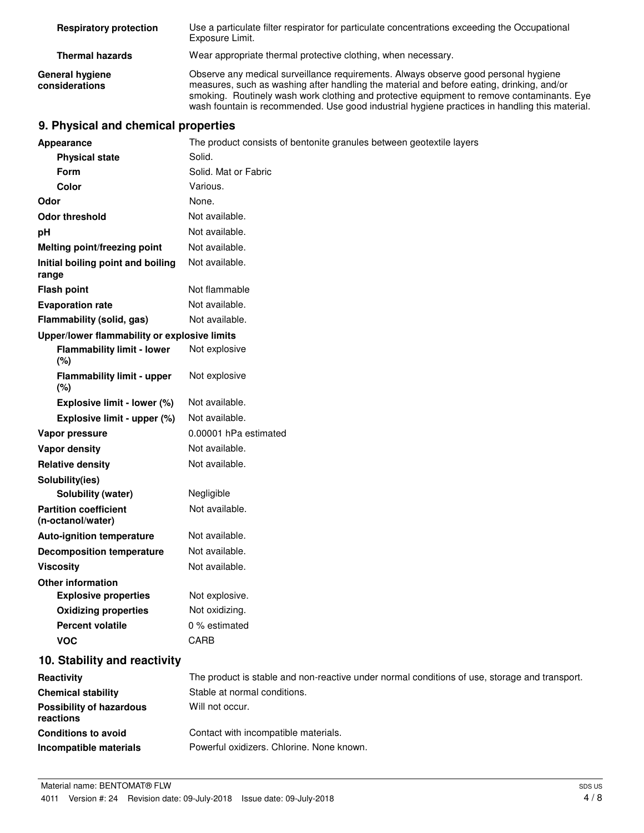| <b>Respiratory protection</b>            | Use a particulate filter respirator for particulate concentrations exceeding the Occupational<br>Exposure Limit.                                                                                                                                                                                                                                                                 |
|------------------------------------------|----------------------------------------------------------------------------------------------------------------------------------------------------------------------------------------------------------------------------------------------------------------------------------------------------------------------------------------------------------------------------------|
| <b>Thermal hazards</b>                   | Wear appropriate thermal protective clothing, when necessary.                                                                                                                                                                                                                                                                                                                    |
| <b>General hygiene</b><br>considerations | Observe any medical surveillance requirements. Always observe good personal hygiene<br>measures, such as washing after handling the material and before eating, drinking, and/or<br>smoking. Routinely wash work clothing and protective equipment to remove contaminants. Eye<br>wash fountain is recommended. Use good industrial hygiene practices in handling this material. |

# **9. Physical and chemical properties**

| Appearance                                        | The product consists of bentonite granules between geotextile layers                          |  |  |
|---------------------------------------------------|-----------------------------------------------------------------------------------------------|--|--|
| <b>Physical state</b>                             | Solid.                                                                                        |  |  |
| Form                                              | Solid. Mat or Fabric                                                                          |  |  |
| <b>Color</b>                                      | Various.                                                                                      |  |  |
| Odor                                              | None.                                                                                         |  |  |
| <b>Odor threshold</b>                             | Not available.                                                                                |  |  |
| рH                                                | Not available.                                                                                |  |  |
| <b>Melting point/freezing point</b>               | Not available.                                                                                |  |  |
| Initial boiling point and boiling<br>range        | Not available.                                                                                |  |  |
| <b>Flash point</b>                                | Not flammable                                                                                 |  |  |
| <b>Evaporation rate</b>                           | Not available.                                                                                |  |  |
| Flammability (solid, gas)                         | Not available.                                                                                |  |  |
| Upper/lower flammability or explosive limits      |                                                                                               |  |  |
| <b>Flammability limit - lower</b><br>(%)          | Not explosive                                                                                 |  |  |
| <b>Flammability limit - upper</b><br>(%)          | Not explosive                                                                                 |  |  |
| Explosive limit - lower (%)                       | Not available.                                                                                |  |  |
| Explosive limit - upper (%)                       | Not available.                                                                                |  |  |
| Vapor pressure                                    | 0.00001 hPa estimated                                                                         |  |  |
| <b>Vapor density</b>                              | Not available.                                                                                |  |  |
| <b>Relative density</b>                           | Not available.                                                                                |  |  |
| Solubility(ies)                                   |                                                                                               |  |  |
| Solubility (water)                                | Negligible                                                                                    |  |  |
| <b>Partition coefficient</b><br>(n-octanol/water) | Not available.                                                                                |  |  |
| <b>Auto-ignition temperature</b>                  | Not available.                                                                                |  |  |
| <b>Decomposition temperature</b>                  | Not available.                                                                                |  |  |
| <b>Viscosity</b>                                  | Not available.                                                                                |  |  |
| <b>Other information</b>                          |                                                                                               |  |  |
| <b>Explosive properties</b>                       | Not explosive.                                                                                |  |  |
| <b>Oxidizing properties</b>                       | Not oxidizing.                                                                                |  |  |
| <b>Percent volatile</b>                           | 0 % estimated                                                                                 |  |  |
| <b>VOC</b>                                        | CARB                                                                                          |  |  |
| 10. Stability and reactivity                      |                                                                                               |  |  |
| Reactivity                                        | The product is stable and non-reactive under normal conditions of use, storage and transport. |  |  |
| <b>Chemical stability</b>                         | Stable at normal conditions.                                                                  |  |  |
| <b>Possibility of hazardous</b><br>reactions      | Will not occur.                                                                               |  |  |
| <b>Conditions to avoid</b>                        | Contact with incompatible materials.                                                          |  |  |
| Incompatible materials                            | Powerful oxidizers. Chlorine. None known.                                                     |  |  |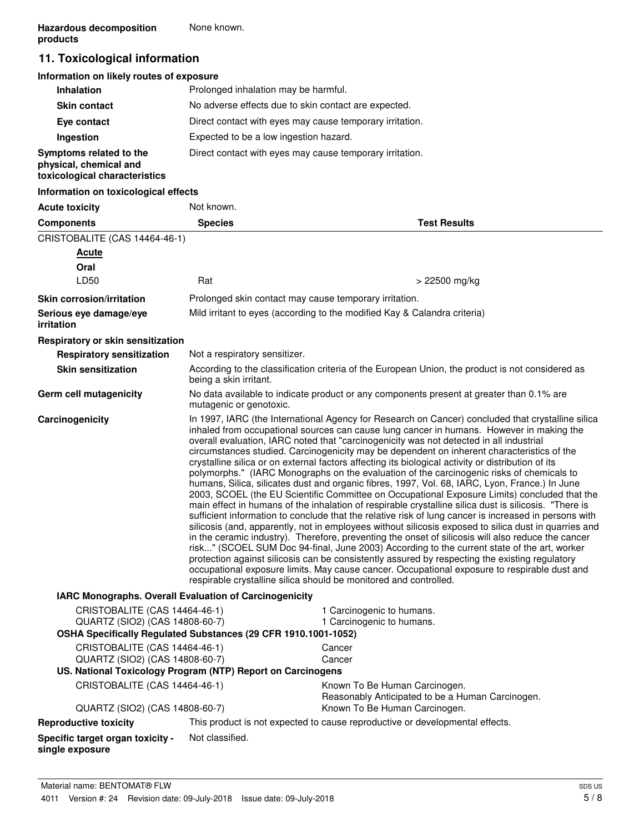# **11. Toxicological information**

#### **Information on likely routes of exposure**

| <b>Inhalation</b>                                                                  | Prolonged inhalation may be harmful.                     |
|------------------------------------------------------------------------------------|----------------------------------------------------------|
| <b>Skin contact</b>                                                                | No adverse effects due to skin contact are expected.     |
| Eye contact                                                                        | Direct contact with eyes may cause temporary irritation. |
| Ingestion                                                                          | Expected to be a low ingestion hazard.                   |
| Symptoms related to the<br>physical, chemical and<br>toxicological characteristics | Direct contact with eyes may cause temporary irritation. |

#### **Information on toxicological effects**

| <b>Acute toxicity</b>                                                                                                             | Not known.                    |                                                                                                                                                                                                                                                                                                                                                                                                                                                                                                                                                                                                                                                                                                                                                                                                                                                                                                                                                                                                                                                                                                                                                                                                                                                                                                                                                                                                                                                                                                                                                                                                    |  |
|-----------------------------------------------------------------------------------------------------------------------------------|-------------------------------|----------------------------------------------------------------------------------------------------------------------------------------------------------------------------------------------------------------------------------------------------------------------------------------------------------------------------------------------------------------------------------------------------------------------------------------------------------------------------------------------------------------------------------------------------------------------------------------------------------------------------------------------------------------------------------------------------------------------------------------------------------------------------------------------------------------------------------------------------------------------------------------------------------------------------------------------------------------------------------------------------------------------------------------------------------------------------------------------------------------------------------------------------------------------------------------------------------------------------------------------------------------------------------------------------------------------------------------------------------------------------------------------------------------------------------------------------------------------------------------------------------------------------------------------------------------------------------------------------|--|
| <b>Components</b>                                                                                                                 | <b>Species</b>                | <b>Test Results</b>                                                                                                                                                                                                                                                                                                                                                                                                                                                                                                                                                                                                                                                                                                                                                                                                                                                                                                                                                                                                                                                                                                                                                                                                                                                                                                                                                                                                                                                                                                                                                                                |  |
| CRISTOBALITE (CAS 14464-46-1)                                                                                                     |                               |                                                                                                                                                                                                                                                                                                                                                                                                                                                                                                                                                                                                                                                                                                                                                                                                                                                                                                                                                                                                                                                                                                                                                                                                                                                                                                                                                                                                                                                                                                                                                                                                    |  |
| <b>Acute</b>                                                                                                                      |                               |                                                                                                                                                                                                                                                                                                                                                                                                                                                                                                                                                                                                                                                                                                                                                                                                                                                                                                                                                                                                                                                                                                                                                                                                                                                                                                                                                                                                                                                                                                                                                                                                    |  |
| Oral                                                                                                                              |                               |                                                                                                                                                                                                                                                                                                                                                                                                                                                                                                                                                                                                                                                                                                                                                                                                                                                                                                                                                                                                                                                                                                                                                                                                                                                                                                                                                                                                                                                                                                                                                                                                    |  |
| LD50                                                                                                                              | Rat                           | > 22500 mg/kg                                                                                                                                                                                                                                                                                                                                                                                                                                                                                                                                                                                                                                                                                                                                                                                                                                                                                                                                                                                                                                                                                                                                                                                                                                                                                                                                                                                                                                                                                                                                                                                      |  |
| <b>Skin corrosion/irritation</b>                                                                                                  |                               | Prolonged skin contact may cause temporary irritation.                                                                                                                                                                                                                                                                                                                                                                                                                                                                                                                                                                                                                                                                                                                                                                                                                                                                                                                                                                                                                                                                                                                                                                                                                                                                                                                                                                                                                                                                                                                                             |  |
| Serious eye damage/eye<br>irritation                                                                                              |                               | Mild irritant to eyes (according to the modified Kay & Calandra criteria)                                                                                                                                                                                                                                                                                                                                                                                                                                                                                                                                                                                                                                                                                                                                                                                                                                                                                                                                                                                                                                                                                                                                                                                                                                                                                                                                                                                                                                                                                                                          |  |
| Respiratory or skin sensitization                                                                                                 |                               |                                                                                                                                                                                                                                                                                                                                                                                                                                                                                                                                                                                                                                                                                                                                                                                                                                                                                                                                                                                                                                                                                                                                                                                                                                                                                                                                                                                                                                                                                                                                                                                                    |  |
| <b>Respiratory sensitization</b>                                                                                                  | Not a respiratory sensitizer. |                                                                                                                                                                                                                                                                                                                                                                                                                                                                                                                                                                                                                                                                                                                                                                                                                                                                                                                                                                                                                                                                                                                                                                                                                                                                                                                                                                                                                                                                                                                                                                                                    |  |
| <b>Skin sensitization</b>                                                                                                         | being a skin irritant.        | According to the classification criteria of the European Union, the product is not considered as                                                                                                                                                                                                                                                                                                                                                                                                                                                                                                                                                                                                                                                                                                                                                                                                                                                                                                                                                                                                                                                                                                                                                                                                                                                                                                                                                                                                                                                                                                   |  |
| Germ cell mutagenicity                                                                                                            |                               | No data available to indicate product or any components present at greater than 0.1% are<br>mutagenic or genotoxic.                                                                                                                                                                                                                                                                                                                                                                                                                                                                                                                                                                                                                                                                                                                                                                                                                                                                                                                                                                                                                                                                                                                                                                                                                                                                                                                                                                                                                                                                                |  |
| Carcinogenicity                                                                                                                   |                               | In 1997, IARC (the International Agency for Research on Cancer) concluded that crystalline silica<br>inhaled from occupational sources can cause lung cancer in humans. However in making the<br>overall evaluation, IARC noted that "carcinogenicity was not detected in all industrial<br>circumstances studied. Carcinogenicity may be dependent on inherent characteristics of the<br>crystalline silica or on external factors affecting its biological activity or distribution of its<br>polymorphs." (IARC Monographs on the evaluation of the carcinogenic risks of chemicals to<br>humans, Silica, silicates dust and organic fibres, 1997, Vol. 68, IARC, Lyon, France.) In June<br>2003, SCOEL (the EU Scientific Committee on Occupational Exposure Limits) concluded that the<br>main effect in humans of the inhalation of respirable crystalline silica dust is silicosis. "There is<br>sufficient information to conclude that the relative risk of lung cancer is increased in persons with<br>silicosis (and, apparently, not in employees without silicosis exposed to silica dust in quarries and<br>in the ceramic industry). Therefore, preventing the onset of silicosis will also reduce the cancer<br>risk" (SCOEL SUM Doc 94-final, June 2003) According to the current state of the art, worker<br>protection against silicosis can be consistently assured by respecting the existing regulatory<br>occupational exposure limits. May cause cancer. Occupational exposure to respirable dust and<br>respirable crystalline silica should be monitored and controlled. |  |
| IARC Monographs. Overall Evaluation of Carcinogenicity                                                                            |                               |                                                                                                                                                                                                                                                                                                                                                                                                                                                                                                                                                                                                                                                                                                                                                                                                                                                                                                                                                                                                                                                                                                                                                                                                                                                                                                                                                                                                                                                                                                                                                                                                    |  |
| CRISTOBALITE (CAS 14464-46-1)<br>QUARTZ (SIO2) (CAS 14808-60-7)<br>OSHA Specifically Regulated Substances (29 CFR 1910.1001-1052) |                               | 1 Carcinogenic to humans.<br>1 Carcinogenic to humans.                                                                                                                                                                                                                                                                                                                                                                                                                                                                                                                                                                                                                                                                                                                                                                                                                                                                                                                                                                                                                                                                                                                                                                                                                                                                                                                                                                                                                                                                                                                                             |  |
| CRISTOBALITE (CAS 14464-46-1)                                                                                                     |                               | Cancer                                                                                                                                                                                                                                                                                                                                                                                                                                                                                                                                                                                                                                                                                                                                                                                                                                                                                                                                                                                                                                                                                                                                                                                                                                                                                                                                                                                                                                                                                                                                                                                             |  |
| QUARTZ (SIO2) (CAS 14808-60-7)                                                                                                    |                               | Cancer                                                                                                                                                                                                                                                                                                                                                                                                                                                                                                                                                                                                                                                                                                                                                                                                                                                                                                                                                                                                                                                                                                                                                                                                                                                                                                                                                                                                                                                                                                                                                                                             |  |
| US. National Toxicology Program (NTP) Report on Carcinogens                                                                       |                               |                                                                                                                                                                                                                                                                                                                                                                                                                                                                                                                                                                                                                                                                                                                                                                                                                                                                                                                                                                                                                                                                                                                                                                                                                                                                                                                                                                                                                                                                                                                                                                                                    |  |
| CRISTOBALITE (CAS 14464-46-1)                                                                                                     |                               | Known To Be Human Carcinogen.<br>Reasonably Anticipated to be a Human Carcinogen.                                                                                                                                                                                                                                                                                                                                                                                                                                                                                                                                                                                                                                                                                                                                                                                                                                                                                                                                                                                                                                                                                                                                                                                                                                                                                                                                                                                                                                                                                                                  |  |
| QUARTZ (SIO2) (CAS 14808-60-7)                                                                                                    |                               | Known To Be Human Carcinogen.                                                                                                                                                                                                                                                                                                                                                                                                                                                                                                                                                                                                                                                                                                                                                                                                                                                                                                                                                                                                                                                                                                                                                                                                                                                                                                                                                                                                                                                                                                                                                                      |  |
| <b>Reproductive toxicity</b>                                                                                                      |                               | This product is not expected to cause reproductive or developmental effects.                                                                                                                                                                                                                                                                                                                                                                                                                                                                                                                                                                                                                                                                                                                                                                                                                                                                                                                                                                                                                                                                                                                                                                                                                                                                                                                                                                                                                                                                                                                       |  |
| Specific target organ toxicity -<br>single exposure                                                                               | Not classified.               |                                                                                                                                                                                                                                                                                                                                                                                                                                                                                                                                                                                                                                                                                                                                                                                                                                                                                                                                                                                                                                                                                                                                                                                                                                                                                                                                                                                                                                                                                                                                                                                                    |  |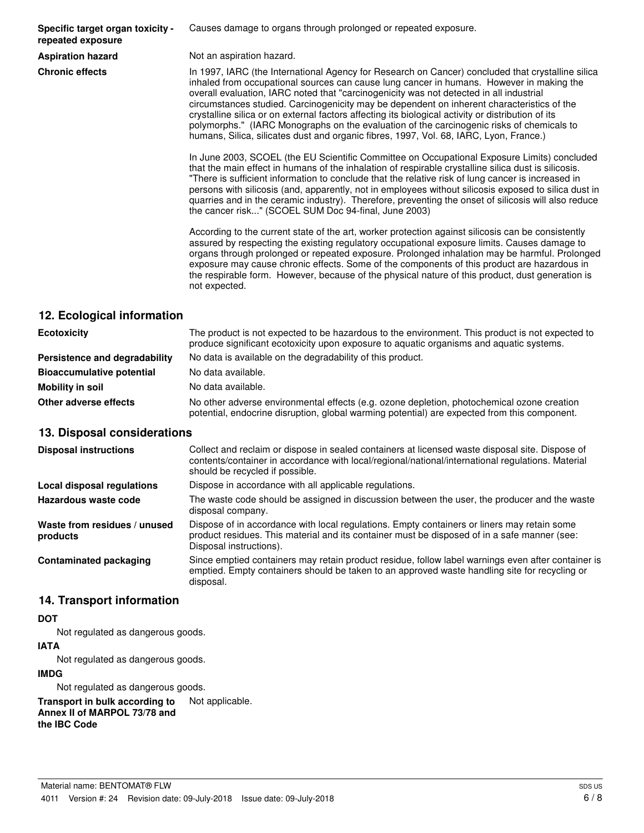**Specific target organ toxicity repeated exposure**

Causes damage to organs through prolonged or repeated exposure.

**Aspiration hazard** Not an aspiration hazard.

**Chronic effects** In 1997, IARC (the International Agency for Research on Cancer) concluded that crystalline silica inhaled from occupational sources can cause lung cancer in humans. However in making the overall evaluation, IARC noted that "carcinogenicity was not detected in all industrial circumstances studied. Carcinogenicity may be dependent on inherent characteristics of the crystalline silica or on external factors affecting its biological activity or distribution of its polymorphs." (IARC Monographs on the evaluation of the carcinogenic risks of chemicals to humans, Silica, silicates dust and organic fibres, 1997, Vol. 68, IARC, Lyon, France.)

> In June 2003, SCOEL (the EU Scientific Committee on Occupational Exposure Limits) concluded that the main effect in humans of the inhalation of respirable crystalline silica dust is silicosis. "There is sufficient information to conclude that the relative risk of lung cancer is increased in persons with silicosis (and, apparently, not in employees without silicosis exposed to silica dust in quarries and in the ceramic industry). Therefore, preventing the onset of silicosis will also reduce the cancer risk..." (SCOEL SUM Doc 94-final, June 2003)

> According to the current state of the art, worker protection against silicosis can be consistently assured by respecting the existing regulatory occupational exposure limits. Causes damage to organs through prolonged or repeated exposure. Prolonged inhalation may be harmful. Prolonged exposure may cause chronic effects. Some of the components of this product are hazardous in the respirable form. However, because of the physical nature of this product, dust generation is not expected.

# **12. Ecological information**

| <b>Ecotoxicity</b>               | The product is not expected to be hazardous to the environment. This product is not expected to<br>produce significant ecotoxicity upon exposure to aquatic organisms and aquatic systems. |
|----------------------------------|--------------------------------------------------------------------------------------------------------------------------------------------------------------------------------------------|
| Persistence and degradability    | No data is available on the degradability of this product.                                                                                                                                 |
| <b>Bioaccumulative potential</b> | No data available.                                                                                                                                                                         |
| Mobility in soil                 | No data available.                                                                                                                                                                         |
| Other adverse effects            | No other adverse environmental effects (e.g. ozone depletion, photochemical ozone creation<br>potential, endocrine disruption, global warming potential) are expected from this component. |

#### **13. Disposal considerations**

| <b>Disposal instructions</b>             | Collect and reclaim or dispose in sealed containers at licensed waste disposal site. Dispose of<br>contents/container in accordance with local/regional/national/international regulations. Material<br>should be recycled if possible. |
|------------------------------------------|-----------------------------------------------------------------------------------------------------------------------------------------------------------------------------------------------------------------------------------------|
| Local disposal regulations               | Dispose in accordance with all applicable regulations.                                                                                                                                                                                  |
| Hazardous waste code                     | The waste code should be assigned in discussion between the user, the producer and the waste<br>disposal company.                                                                                                                       |
| Waste from residues / unused<br>products | Dispose of in accordance with local regulations. Empty containers or liners may retain some<br>product residues. This material and its container must be disposed of in a safe manner (see:<br>Disposal instructions).                  |
| <b>Contaminated packaging</b>            | Since emptied containers may retain product residue, follow label warnings even after container is<br>emptied. Empty containers should be taken to an approved waste handling site for recycling or<br>disposal.                        |

### **14. Transport information**

#### **DOT**

Not regulated as dangerous goods.

#### **IATA**

Not regulated as dangerous goods.

#### **IMDG**

Not regulated as dangerous goods.

**Transport in bulk according to** Not applicable. **Annex II of MARPOL 73/78 and the IBC Code**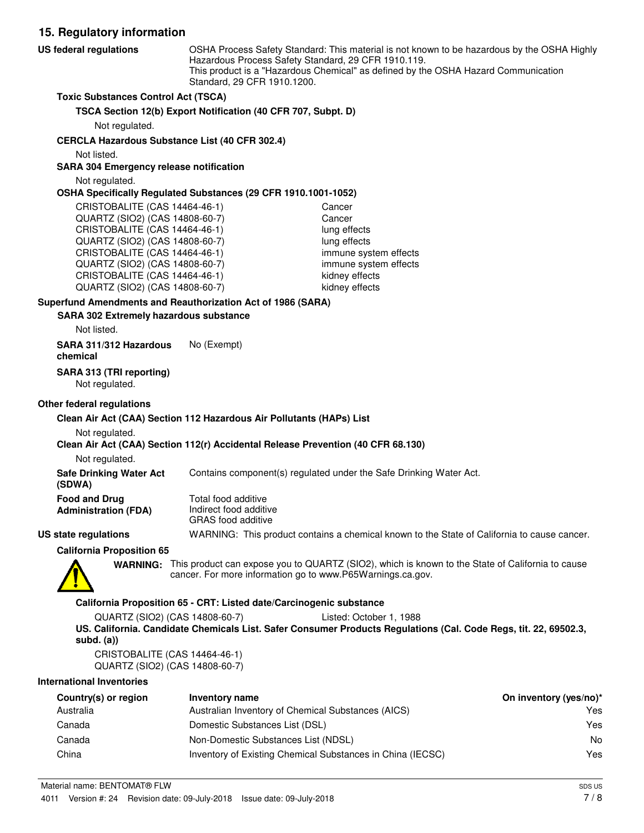**15. Regulatory information** OSHA Process Safety Standard: This material is not known to be hazardous by the OSHA Highly Hazardous Process Safety Standard, 29 CFR 1910.119. This product is a "Hazardous Chemical" as defined by the OSHA Hazard Communication Standard, 29 CFR 1910.1200. **US federal regulations Toxic Substances Control Act (TSCA) TSCA Section 12(b) Export Notification (40 CFR 707, Subpt. D)** Not regulated. **CERCLA Hazardous Substance List (40 CFR 302.4)** Not listed. **SARA 304 Emergency release notification** Not regulated. **OSHA Specifically Regulated Substances (29 CFR 1910.1001-1052)** CRISTOBALITE (CAS 14464-46-1) Cancer QUARTZ (SIO2) (CAS 14808-60-7) Cancer CRISTOBALITE (CAS 14464-46-1) lung effects QUARTZ (SIO2) (CAS 14808-60-7) lung effects CRISTOBALITE (CAS 14464-46-1) immune system effects QUARTZ (SIO2) (CAS 14808-60-7) immune system effects CRISTOBALITE (CAS 14464-46-1) kidney effects QUARTZ (SIO2) (CAS 14808-60-7) kidney effects **SARA 302 Extremely hazardous substance Superfund Amendments and Reauthorization Act of 1986 (SARA)** Not listed. **SARA 311/312 Hazardous** No (Exempt) **chemical SARA 313 (TRI reporting)** Not regulated.

#### **Other federal regulations**

#### **Clean Air Act (CAA) Section 112 Hazardous Air Pollutants (HAPs) List**

#### Not regulated.

#### **Clean Air Act (CAA) Section 112(r) Accidental Release Prevention (40 CFR 68.130)**

Not regulated.

**Safe Drinking Water Act** Contains component(s) regulated under the Safe Drinking Water Act.

| (SDWA)                      |  |
|-----------------------------|--|
| <b>Food and Drug</b>        |  |
| <b>Administration (FDA)</b> |  |

Total food additive Indirect food additive GRAS food additive

#### **US state regulations** WARNING: This product contains a chemical known to the State of California to cause cancer.

**California Proposition 65**



WARNING: This product can expose you to QUARTZ (SIO2), which is known to the State of California to cause cancer. For more information go to www.P65Warnings.ca.gov.

#### **California Proposition 65 - CRT: Listed date/Carcinogenic substance**

QUARTZ (SIO2) (CAS 14808-60-7) Listed: October 1, 1988 **US. California. Candidate Chemicals List. Safer Consumer Products Regulations (Cal. Code Regs, tit. 22, 69502.3, subd. (a))**

CRISTOBALITE (CAS 14464-46-1) QUARTZ (SIO2) (CAS 14808-60-7)

#### **International Inventories**

| Country(s) or region | Inventory name                                             | On inventory (yes/no)* |
|----------------------|------------------------------------------------------------|------------------------|
| Australia            | Australian Inventory of Chemical Substances (AICS)         | Yes                    |
| Canada               | Domestic Substances List (DSL)                             | Yes                    |
| Canada               | Non-Domestic Substances List (NDSL)                        | No                     |
| China                | Inventory of Existing Chemical Substances in China (IECSC) | Yes                    |